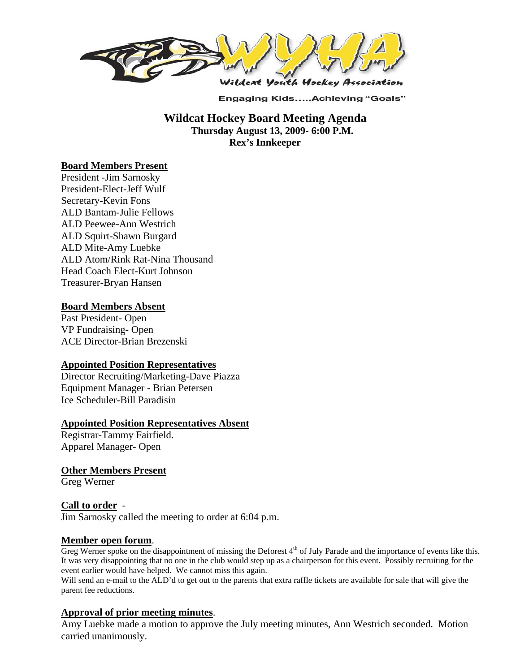

**Engaging Kids.....Achieving "Goals"** 

 **Wildcat Hockey Board Meeting Agenda Thursday August 13, 2009- 6:00 P.M. Rex's Innkeeper** 

## **Board Members Present**

President -Jim Sarnosky President-Elect-Jeff Wulf Secretary-Kevin Fons ALD Bantam-Julie Fellows ALD Peewee-Ann Westrich ALD Squirt-Shawn Burgard ALD Mite-Amy Luebke ALD Atom/Rink Rat-Nina Thousand Head Coach Elect-Kurt Johnson Treasurer-Bryan Hansen

#### **Board Members Absent**

Past President- Open VP Fundraising- Open ACE Director-Brian Brezenski

#### **Appointed Position Representatives**

Director Recruiting/Marketing-Dave Piazza Equipment Manager - Brian Petersen Ice Scheduler-Bill Paradisin

#### **Appointed Position Representatives Absent**

Registrar-Tammy Fairfield. Apparel Manager- Open

**Other Members Present**

Greg Werner

## **Call to order** -

Jim Sarnosky called the meeting to order at 6:04 p.m.

**Member open forum.**<br>Greg Werner spoke on the disappointment of missing the Deforest 4<sup>th</sup> of July Parade and the importance of events like this. It was very disappointing that no one in the club would step up as a chairperson for this event. Possibly recruiting for the event earlier would have helped. We cannot miss this again.

Will send an e-mail to the ALD'd to get out to the parents that extra raffle tickets are available for sale that will give the parent fee reductions.

## **Approval of prior meeting minutes**.

Amy Luebke made a motion to approve the July meeting minutes, Ann Westrich seconded. Motion carried unanimously.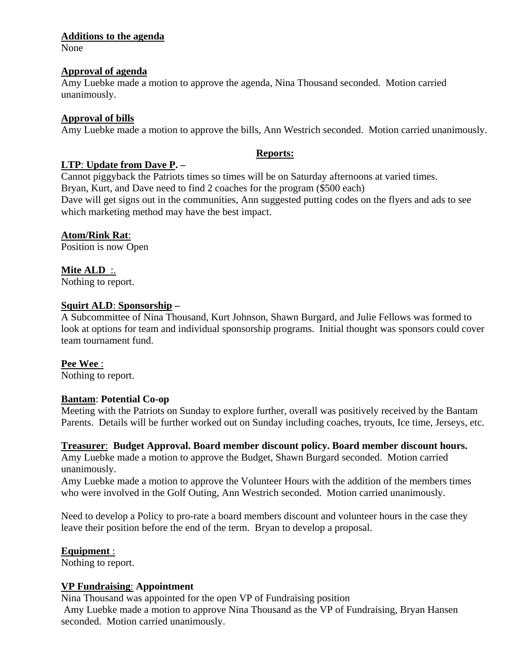## **Additions to the agenda**

None

## **Approval of agenda**

Amy Luebke made a motion to approve the agenda, Nina Thousand seconded. Motion carried unanimously.

## **Approval of bills**

Amy Luebke made a motion to approve the bills, Ann Westrich seconded. Motion carried unanimously.

# **Reports:**

## **LTP**: **Update from Dave P. –**

Cannot piggyback the Patriots times so times will be on Saturday afternoons at varied times. Bryan, Kurt, and Dave need to find 2 coaches for the program (\$500 each) Dave will get signs out in the communities, Ann suggested putting codes on the flyers and ads to see which marketing method may have the best impact.

## **Atom/Rink Rat**:

Position is now Open

# **Mite ALD** :.

Nothing to report.

## **Squirt ALD**: **Sponsorship –**

A Subcommittee of Nina Thousand, Kurt Johnson, Shawn Burgard, and Julie Fellows was formed to look at options for team and individual sponsorship programs. Initial thought was sponsors could cover team tournament fund.

## **Pee Wee** :

Nothing to report.

# **Bantam**: **Potential Co-op**

Meeting with the Patriots on Sunday to explore further, overall was positively received by the Bantam Parents. Details will be further worked out on Sunday including coaches, tryouts, Ice time, Jerseys, etc.

## **Treasurer**: **Budget Approval. Board member discount policy. Board member discount hours.**

Amy Luebke made a motion to approve the Budget, Shawn Burgard seconded. Motion carried unanimously.

Amy Luebke made a motion to approve the Volunteer Hours with the addition of the members times who were involved in the Golf Outing, Ann Westrich seconded. Motion carried unanimously.

Need to develop a Policy to pro-rate a board members discount and volunteer hours in the case they leave their position before the end of the term. Bryan to develop a proposal.

# **Equipment** :

Nothing to report.

## **VP Fundraising**: **Appointment**

Nina Thousand was appointed for the open VP of Fundraising position Amy Luebke made a motion to approve Nina Thousand as the VP of Fundraising, Bryan Hansen seconded. Motion carried unanimously.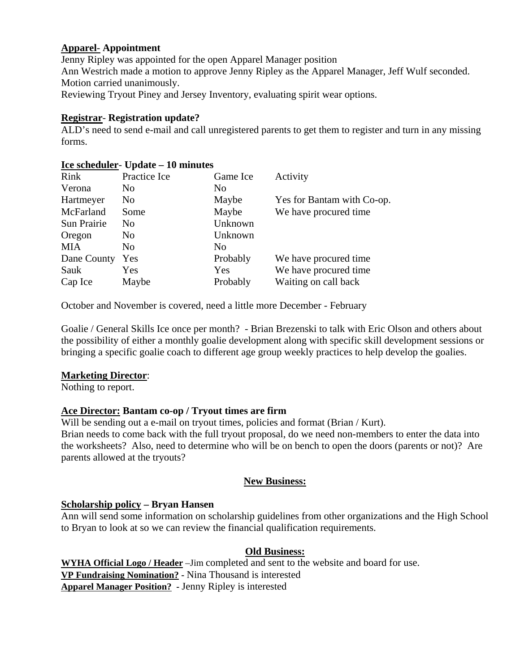## **Apparel**- **Appointment**

Jenny Ripley was appointed for the open Apparel Manager position Ann Westrich made a motion to approve Jenny Ripley as the Apparel Manager, Jeff Wulf seconded. Motion carried unanimously. Reviewing Tryout Piney and Jersey Inventory, evaluating spirit wear options.

## **Registrar**- **Registration update?**

ALD's need to send e-mail and call unregistered parents to get them to register and turn in any missing forms.

## **Ice scheduler**- **Update – 10 minutes**

| Rink        | Practice Ice   | Game Ice       | Activity                   |
|-------------|----------------|----------------|----------------------------|
| Verona      | No.            | N <sub>0</sub> |                            |
| Hartmeyer   | No.            | Maybe          | Yes for Bantam with Co-op. |
| McFarland   | Some           | Maybe          | We have procured time      |
| Sun Prairie | No.            | Unknown        |                            |
| Oregon      | N <sub>0</sub> | Unknown        |                            |
| MIA         | N <sub>0</sub> | N <sub>0</sub> |                            |
| Dane County | Yes            | Probably       | We have procured time.     |
| Sauk        | Yes            | Yes            | We have procured time      |
| Cap Ice     | Maybe          | Probably       | Waiting on call back       |
|             |                |                |                            |

October and November is covered, need a little more December - February

Goalie / General Skills Ice once per month? - Brian Brezenski to talk with Eric Olson and others about the possibility of either a monthly goalie development along with specific skill development sessions or bringing a specific goalie coach to different age group weekly practices to help develop the goalies.

## **Marketing Director**:

Nothing to report.

# **Ace Director: Bantam co-op / Tryout times are firm**

Will be sending out a e-mail on tryout times, policies and format (Brian / Kurt). Brian needs to come back with the full tryout proposal, do we need non-members to enter the data into the worksheets? Also, need to determine who will be on bench to open the doors (parents or not)? Are parents allowed at the tryouts?

## **New Business:**

## **Scholarship policy – Bryan Hansen**

Ann will send some information on scholarship guidelines from other organizations and the High School to Bryan to look at so we can review the financial qualification requirements.

## **Old Business:**

**WYHA Official Logo / Header** –Jim completed and sent to the website and board for use. **VP Fundraising Nomination? -** Nina Thousand is interested **Apparel Manager Position? -** Jenny Ripley is interested